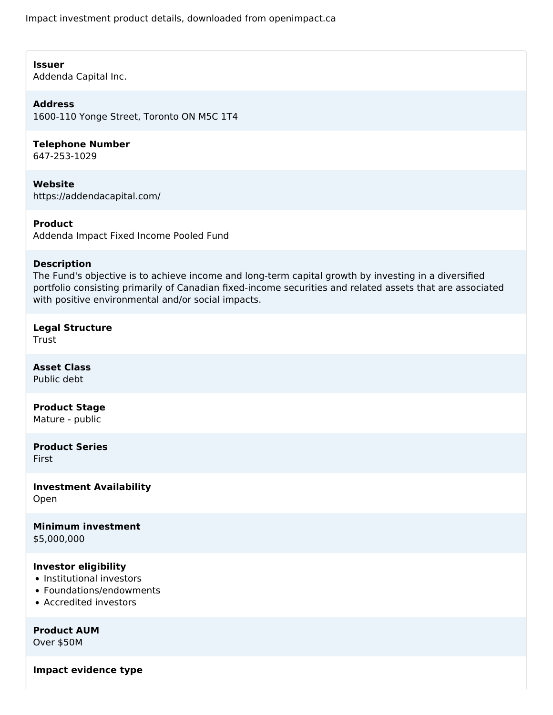Impact investment product details, downloaded from openimpact.ca

#### **Issuer**

Addenda Capital Inc.

# **Address**

1600-110 Yonge Street, Toronto ON M5C 1T4

# **Telephone Number**

647-253-1029

**Website** <https://addendacapital.com/>

#### **Product**

Addenda Impact Fixed Income Pooled Fund

#### **Description**

The Fund's objective is to achieve income and long-term capital growth by investing in a diversified portfolio consisting primarily of Canadian fixed-income securities and related assets that are associated with positive environmental and/or social impacts.

## **Legal Structure**

Trust

**Asset Class** Public debt

# **Product Stage**

Mature - public

**Product Series** First

**Investment Availability** Open

**Minimum investment** \$5,000,000

## **Investor eligibility**

- Institutional investors
- Foundations/endowments
- Accredited investors

**Product AUM**

Over \$50M

**Impact evidence type**